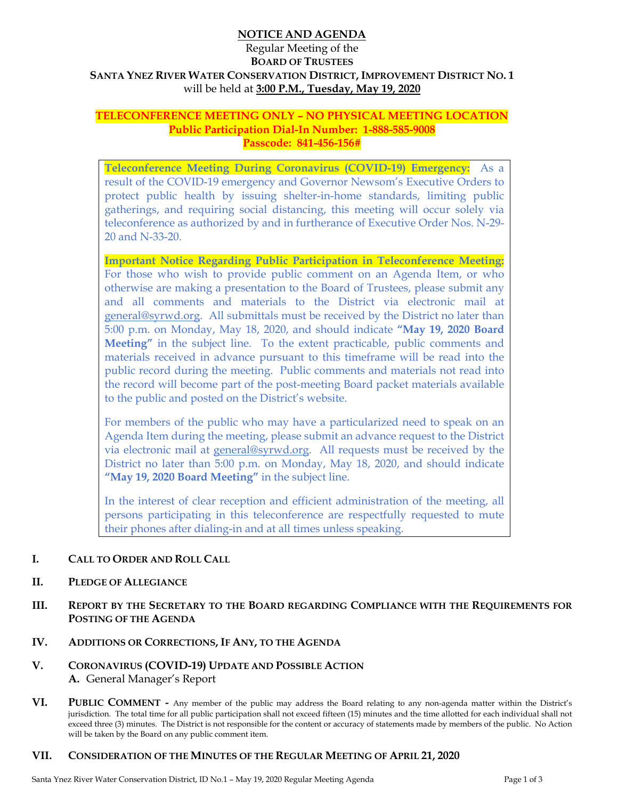# **NOTICE AND AGENDA**

# Regular Meeting of the **BOARD OF TRUSTEES SANTA YNEZ RIVER WATER CONSERVATION DISTRICT, IMPROVEMENT DISTRICT NO. 1**  will be held at **3:00 P.M., Tuesday, May 19, 2020**

## **TELECONFERENCE MEETING ONLY – NO PHYSICAL MEETING LOCATION Public Participation Dial-In Number: 1-888-585-9008 Passcode: 841-456-156#**

**Teleconference Meeting During Coronavirus (COVID-19) Emergency:** As a result of the COVID-19 emergency and Governor Newsom's Executive Orders to protect public health by issuing shelter-in-home standards, limiting public gatherings, and requiring social distancing, this meeting will occur solely via teleconference as authorized by and in furtherance of Executive Order Nos. N-29- 20 and N-33-20.

**Important Notice Regarding Public Participation in Teleconference Meeting:** For those who wish to provide public comment on an Agenda Item, or who otherwise are making a presentation to the Board of Trustees, please submit any and all comments and materials to the District via electronic mail at general@syrwd.org. All submittals must be received by the District no later than 5:00 p.m. on Monday, May 18, 2020, and should indicate **"May 19, 2020 Board Meeting"** in the subject line. To the extent practicable, public comments and materials received in advance pursuant to this timeframe will be read into the public record during the meeting. Public comments and materials not read into the record will become part of the post-meeting Board packet materials available to the public and posted on the District's website.

For members of the public who may have a particularized need to speak on an Agenda Item during the meeting, please submit an advance request to the District via electronic mail at general@syrwd.org. All requests must be received by the District no later than 5:00 p.m. on Monday, May 18, 2020, and should indicate **"May 19, 2020 Board Meeting"** in the subject line.

In the interest of clear reception and efficient administration of the meeting, all persons participating in this teleconference are respectfully requested to mute their phones after dialing-in and at all times unless speaking.

#### **I. CALL TO ORDER AND ROLL CALL**

#### **II. PLEDGE OF ALLEGIANCE**

**III. REPORT BY THE SECRETARY TO THE BOARD REGARDING COMPLIANCE WITH THE REQUIREMENTS FOR POSTING OF THE AGENDA**

#### **IV. ADDITIONS OR CORRECTIONS, IF ANY, TO THE AGENDA**

- **V. CORONAVIRUS (COVID-19) UPDATE AND POSSIBLE ACTION A.** General Manager's Report
- **VI. PUBLIC COMMENT** Any member of the public may address the Board relating to any non-agenda matter within the District's jurisdiction. The total time for all public participation shall not exceed fifteen (15) minutes and the time allotted for each individual shall not exceed three (3) minutes. The District is not responsible for the content or accuracy of statements made by members of the public. No Action will be taken by the Board on any public comment item.

#### **VII. CONSIDERATION OF THE MINUTES OF THE REGULAR MEETING OF APRIL 21, 2020**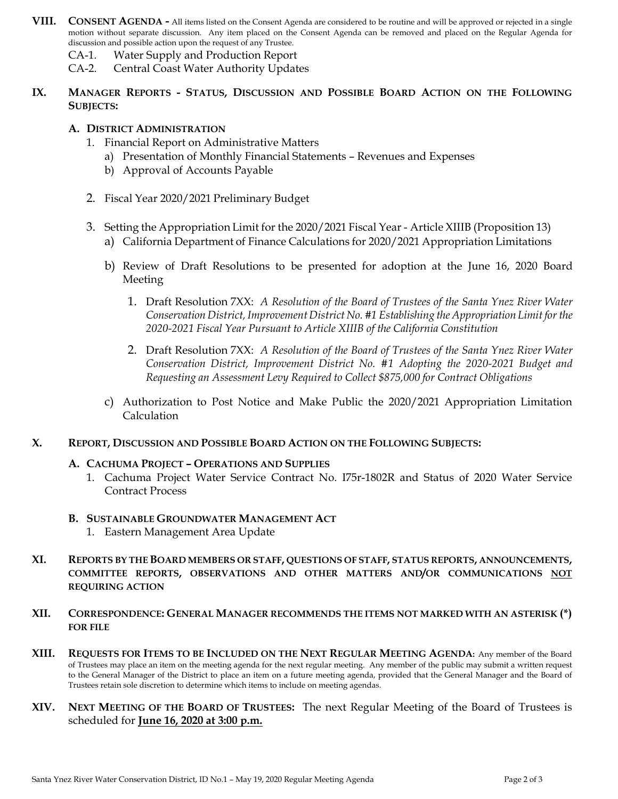- **VIII. CONSENT AGENDA -** All items listed on the Consent Agenda are considered to be routine and will be approved or rejected in a single motion without separate discussion. Any item placed on the Consent Agenda can be removed and placed on the Regular Agenda for discussion and possible action upon the request of any Trustee.
	- CA-1. Water Supply and Production Report
	- CA-2. Central Coast Water Authority Updates
- **IX. MANAGER REPORTS - STATUS, DISCUSSION AND POSSIBLE BOARD ACTION ON THE FOLLOWING SUBJECTS:**

### **A. DISTRICT ADMINISTRATION**

- 1. Financial Report on Administrative Matters
	- a) Presentation of Monthly Financial Statements Revenues and Expenses
	- b) Approval of Accounts Payable
- 2. Fiscal Year 2020/2021 Preliminary Budget
- 3. Setting the Appropriation Limit for the 2020/2021 Fiscal Year Article XIIIB (Proposition 13)
	- a) California Department of Finance Calculations for 2020/2021 Appropriation Limitations
	- b) Review of Draft Resolutions to be presented for adoption at the June 16, 2020 Board Meeting
		- 1. Draft Resolution 7XX: *A Resolution of the Board of Trustees of the Santa Ynez River Water Conservation District, Improvement District No. #1 Establishing the Appropriation Limit for the 2020-2021 Fiscal Year Pursuant to Article XIIIB of the California Constitution*
		- 2. Draft Resolution 7XX: *A Resolution of the Board of Trustees of the Santa Ynez River Water Conservation District, Improvement District No. #1 Adopting the 2020-2021 Budget and Requesting an Assessment Levy Required to Collect \$875,000 for Contract Obligations*
	- c) Authorization to Post Notice and Make Public the 2020/2021 Appropriation Limitation Calculation
- **X. REPORT, DISCUSSION AND POSSIBLE BOARD ACTION ON THE FOLLOWING SUBJECTS:**

#### **A. CACHUMA PROJECT – OPERATIONS AND SUPPLIES**

- 1. Cachuma Project Water Service Contract No. I75r-1802R and Status of 2020 Water Service Contract Process
- **B. SUSTAINABLE GROUNDWATER MANAGEMENT ACT**
	- 1. Eastern Management Area Update
- **XI. REPORTS BY THE BOARD MEMBERS OR STAFF, QUESTIONS OF STAFF, STATUS REPORTS, ANNOUNCEMENTS, COMMITTEE REPORTS, OBSERVATIONS AND OTHER MATTERS AND/OR COMMUNICATIONS NOT REQUIRING ACTION**
- **XII. CORRESPONDENCE: GENERAL MANAGER RECOMMENDS THE ITEMS NOT MARKED WITH AN ASTERISK (\*) FOR FILE**
- **XIII. REQUESTS FOR ITEMS TO BE INCLUDED ON THE NEXT REGULAR MEETING AGENDA:** Any member of the Board of Trustees may place an item on the meeting agenda for the next regular meeting. Any member of the public may submit a written request to the General Manager of the District to place an item on a future meeting agenda, provided that the General Manager and the Board of Trustees retain sole discretion to determine which items to include on meeting agendas.
- **XIV. NEXT MEETING OF THE BOARD OF TRUSTEES:** The next Regular Meeting of the Board of Trustees is scheduled for **June 16, 2020 at 3:00 p.m.**